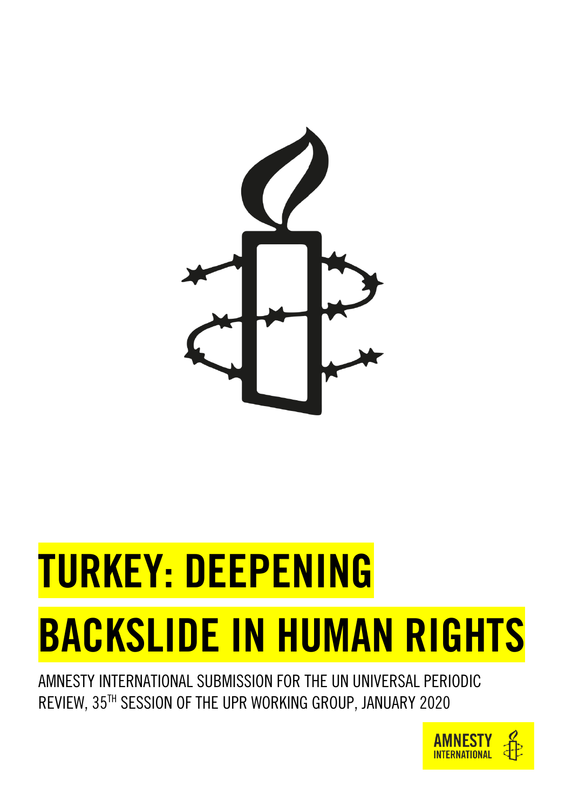

# TURKEY: DEEPENING BACKSLIDE IN HUMAN RIGHTS

AMNESTY INTERNATIONAL SUBMISSION FOR THE UN UNIVERSAL PERIODIC REVIEW, 35 TH SESSION OF THE UPR WORKING GROUP, JANUARY 2020

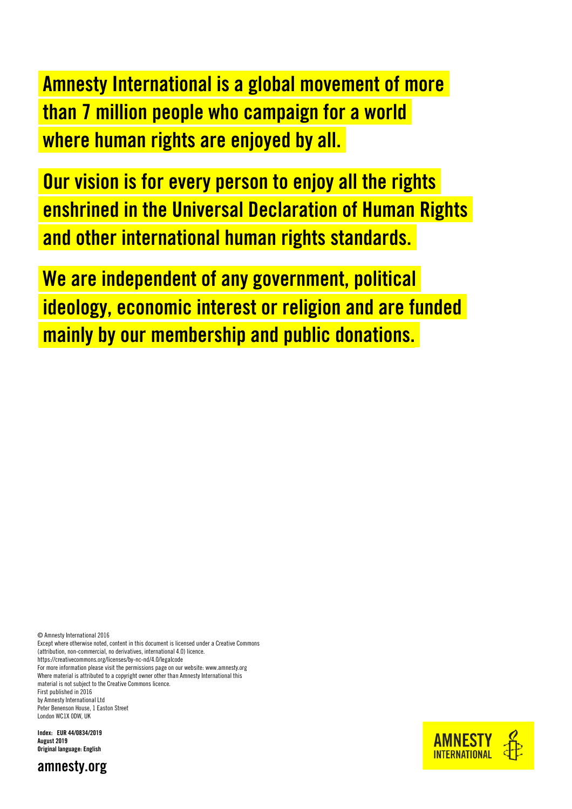Amnesty International is a global movement of more than 7 million people who campaign for a world where human rights are enjoyed by all.

Our vision is for every person to enjoy all the rights enshrined in the Universal Declaration of Human Rights and other international human rights standards.

We are independent of any government, political ideology, economic interest or religion and are funded mainly by our membership and public donations.

© Amnesty International 2016

Except where otherwise noted, content in this document is licensed under a Creative Commons (attribution, non-commercial, no derivatives, international 4.0) licence. <https://creativecommons.org/licenses/by-nc-nd/4.0/legalcode>

For more information please visit the permissions page on our website[: www.amnesty.org](http://www.amnesty.org/) Where material is attributed to a copyright owner other than Amnesty International this material is not subject to the Creative Commons licence. First published in 2016

by Amnesty International Ltd

Peter Benenson House, 1 Easton Street London WC1X 0DW, UK

Index: EUR 44/0834/2019 August 2019 Original language: English



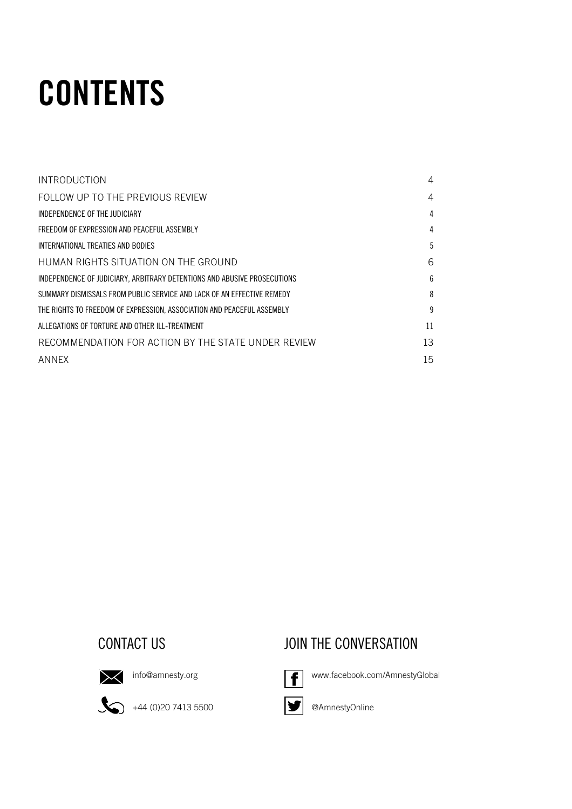# **CONTENTS**

| <b>INTRODUCTION</b>                                                      | 4  |
|--------------------------------------------------------------------------|----|
| FOLLOW UP TO THE PREVIOUS REVIEW                                         | 4  |
| INDEPENDENCE OF THE JUDICIARY                                            | 4  |
| FREEDOM OF EXPRESSION AND PEACEFUL ASSEMBLY                              | 4  |
| INTERNATIONAL TREATIES AND BODIES                                        | 5  |
| HUMAN RIGHTS SITUATION ON THE GROUND                                     | 6  |
| INDEPENDENCE OF JUDICIARY, ARBITRARY DETENTIONS AND ABUSIVE PROSECUTIONS | 6  |
| SUMMARY DISMISSALS FROM PUBLIC SERVICE AND LACK OF AN EFFECTIVE REMEDY   | 8  |
| THE RIGHTS TO FREEDOM OF EXPRESSION, ASSOCIATION AND PEACEFUL ASSEMBLY   | 9  |
| ALLEGATIONS OF TORTURE AND OTHER ILL-TREATMENT                           | 11 |
| RECOMMENDATION FOR ACTION BY THE STATE UNDER REVIEW                      | 13 |
| ANNFX                                                                    | 15 |

## CONTACT US **CONTACT US** JOIN THE CONVERSATION



 $\sum$  [info@amnesty.org](mailto:info@amnesty.org)

 $\bigotimes$  +44 (0)20 7413 5500



[www.facebook.com/AmnestyGlobal](http://www.facebook.com/AmnestyGlobal)





@AmnestyOnline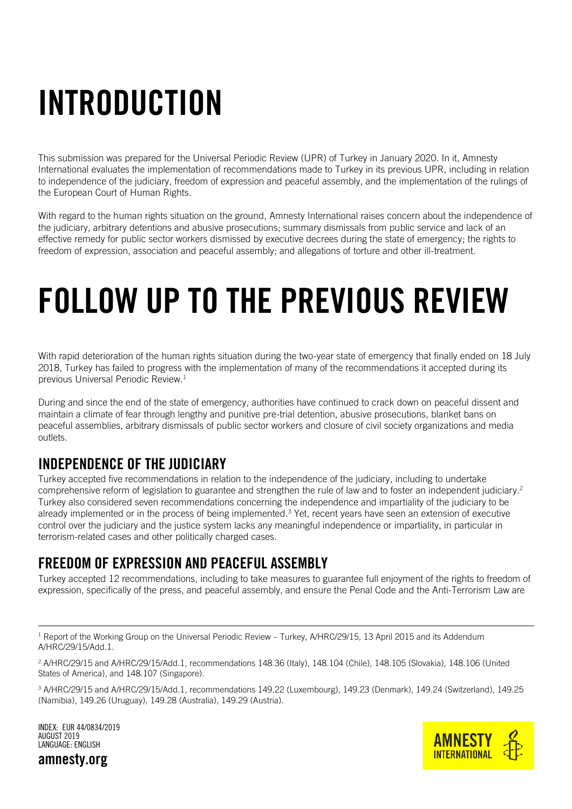# <span id="page-3-0"></span>**INTRODUCTION**

This submission was prepared for the Universal Periodic Review (UPR) of Turkey in January 2020. In it, Amnesty International evaluates the implementation of recommendations made to Turkey in its previous UPR, including in relation to independence of the judiciary, freedom of expression and peaceful assembly, and the implementation of the rulings of the European Court of Human Rights.

With regard to the human rights situation on the ground, Amnesty International raises concern about the independence of the judiciary, arbitrary detentions and abusive prosecutions; summary dismissals from public service and lack of an effective remedy for public sector workers dismissed by executive decrees during the state of emergency; the rights to freedom of expression, association and peaceful assembly; and allegations of torture and other ill-treatment.

# <span id="page-3-1"></span>FOLLOW UP TO THE PREVIOUS REVIEW

With rapid deterioration of the human rights situation during the two-year state of emergency that finally ended on 18 July 2018, Turkey has failed to progress with the implementation of many of the recommendations it accepted during its previous Universal Periodic Review.<sup>1</sup>

During and since the end of the state of emergency, authorities have continued to crack down on peaceful dissent and maintain a climate of fear through lengthy and punitive pre-trial detention, abusive prosecutions, blanket bans on peaceful assemblies, arbitrary dismissals of public sector workers and closure of civil society organizations and media outlets.

## <span id="page-3-2"></span>INDEPENDENCE OF THE JUDICIARY

Turkey accepted five recommendations in relation to the independence of the judiciary, including to undertake comprehensive reform of legislation to guarantee and strengthen the rule of law and to foster an independent judiciary.<sup>2</sup> Turkey also considered seven recommendations concerning the independence and impartiality of the judiciary to be already implemented or in the process of being implemented.<sup>3</sup> Yet, recent years have seen an extension of executive control over the judiciary and the justice system lacks any meaningful independence or impartiality, in particular in terrorism-related cases and other politically charged cases.

## <span id="page-3-3"></span>FREEDOM OF EXPRESSION AND PEACEFUL ASSEMBLY

Turkey accepted 12 recommendations, including to take measures to guarantee full enjoyment of the rights to freedom of expression, specifically of the press, and peaceful assembly, and ensure the Penal Code and the Anti-Terrorism Law are

 $1$  Report of the Working Group on the Universal Periodic Review – Turkey, A/HRC/29/15, 13 April 2015 and its Addendum A/HRC/29/15/Add.1.

<sup>2</sup> A/HRC/29/15 and A/HRC/29/15/Add.1, recommendations 148.36 (Italy), 148.104 (Chile), 148.105 (Slovakia), 148.106 (United States of America), and 148.107 (Singapore).

<sup>3</sup> A/HRC/29/15 and A/HRC/29/15/Add.1, recommendations 149.22 (Luxembourg), 149.23 (Denmark), 149.24 (Switzerland), 149.25 (Namibia), 149.26 (Uruguay), 149.28 (Australia), 149.29 (Austria).



INDEX: EUR 44/0834/2019 AUGUST 2019 LANGUAGE: ENGLISH

amnesty.org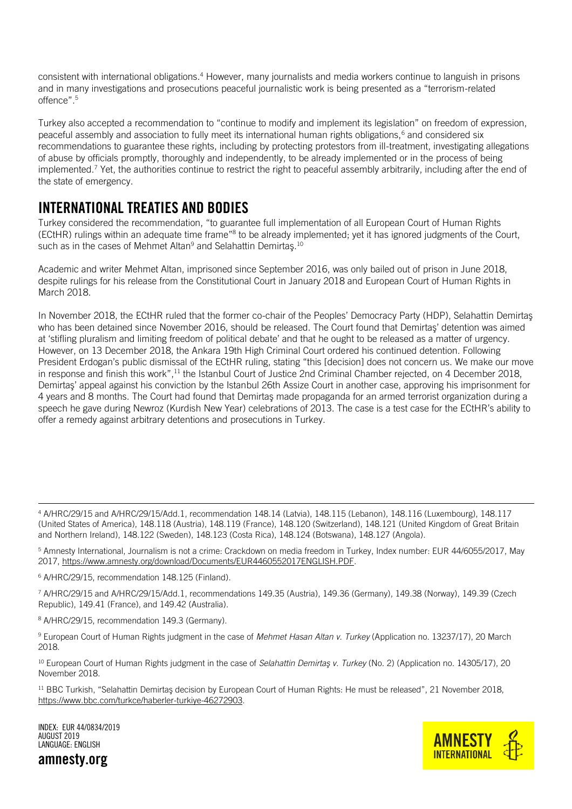consistent with international obligations.<sup>4</sup> However, many journalists and media workers continue to languish in prisons and in many investigations and prosecutions peaceful journalistic work is being presented as a "terrorism-related offence".<sup>5</sup>

Turkey also accepted a recommendation to "continue to modify and implement its legislation" on freedom of expression, peaceful assembly and association to fully meet its international human rights obligations,<sup>6</sup> and considered six recommendations to guarantee these rights, including by protecting protestors from ill-treatment, investigating allegations of abuse by officials promptly, thoroughly and independently, to be already implemented or in the process of being implemented.<sup>7</sup> Yet, the authorities continue to restrict the right to peaceful assembly arbitrarily, including after the end of the state of emergency.

### <span id="page-4-0"></span>INTERNATIONAL TREATIES AND BODIES

Turkey considered the recommendation, "to guarantee full implementation of all European Court of Human Rights (ECtHR) rulings within an adequate time frame"<sup>8</sup> to be already implemented; yet it has ignored judgments of the Court, such as in the cases of Mehmet Altan<sup>9</sup> and Selahattin Demirtas.<sup>10</sup>

Academic and writer Mehmet Altan, imprisoned since September 2016, was only bailed out of prison in June 2018, despite rulings for his release from the Constitutional Court in January 2018 and European Court of Human Rights in March 2018.

In November 2018, the ECtHR ruled that the former co-chair of the Peoples' Democracy Party (HDP), Selahattin Demirtaş who has been detained since November 2016, should be released. The Court found that Demirtaş' detention was aimed at 'stifling pluralism and limiting freedom of political debate' and that he ought to be released as a matter of urgency. However, on 13 December 2018, the Ankara 19th High Criminal Court ordered his continued detention. Following President Erdogan's public dismissal of the ECtHR ruling, stating "this [decision] does not concern us. We make our move in response and finish this work",<sup>11</sup> the Istanbul Court of Justice 2nd Criminal Chamber rejected, on 4 December 2018, Demirtaş' appeal against his conviction by the Istanbul 26th Assize Court in another case, approving his imprisonment for 4 years and 8 months. The Court had found that Demirtaş made propaganda for an armed terrorist organization during a speech he gave during Newroz (Kurdish New Year) celebrations of 2013. The case is a test case for the ECtHR's ability to offer a remedy against arbitrary detentions and prosecutions in Turkey.

<sup>4</sup> A/HRC/29/15 and A/HRC/29/15/Add.1, recommendation 148.14 (Latvia), 148.115 (Lebanon), 148.116 (Luxembourg), 148.117 (United States of America), 148.118 (Austria), 148.119 (France), 148.120 (Switzerland), 148.121 (United Kingdom of Great Britain and Northern Ireland), 148.122 (Sweden), 148.123 (Costa Rica), 148.124 (Botswana), 148.127 (Angola).

<sup>5</sup> Amnesty International, Journalism is not a crime: Crackdown on media freedom in Turkey, Index number: EUR 44/6055/2017, May 2017[, https://www.amnesty.org/download/Documents/EUR4460552017ENGLISH.PDF.](https://www.amnesty.org/download/Documents/EUR4460552017ENGLISH.PDF) 

<sup>6</sup> A/HRC/29/15, recommendation 148.125 (Finland).

<sup>7</sup> A/HRC/29/15 and A/HRC/29/15/Add.1, recommendations 149.35 (Austria), 149.36 (Germany), 149.38 (Norway), 149.39 (Czech Republic), 149.41 (France), and 149.42 (Australia).

<sup>8</sup> A/HRC/29/15, recommendation 149.3 (Germany).

<sup>9</sup> European Court of Human Rights judgment in the case of *Mehmet Hasan Altan v. Turkey* (Application no. 13237/17), 20 March 2018.

<sup>10</sup> European Court of Human Rights judgment in the case of *Selahattin Demirtaş v. Turkey* (No. 2) (Application no. 14305/17), 20 November 2018.

<sup>11</sup> BBC Turkish, "Selahattin Demirtaş decision by European Court of Human Rights: He must be released", 21 November 2018, [https://www.bbc.com/turkce/haberler-turkiye-46272903.](https://www.bbc.com/turkce/haberler-turkiye-46272903) 

INDEX: EUR 44/0834/2019 AUGUST 2019 LANGUAGE: ENGLISH



amnesty.org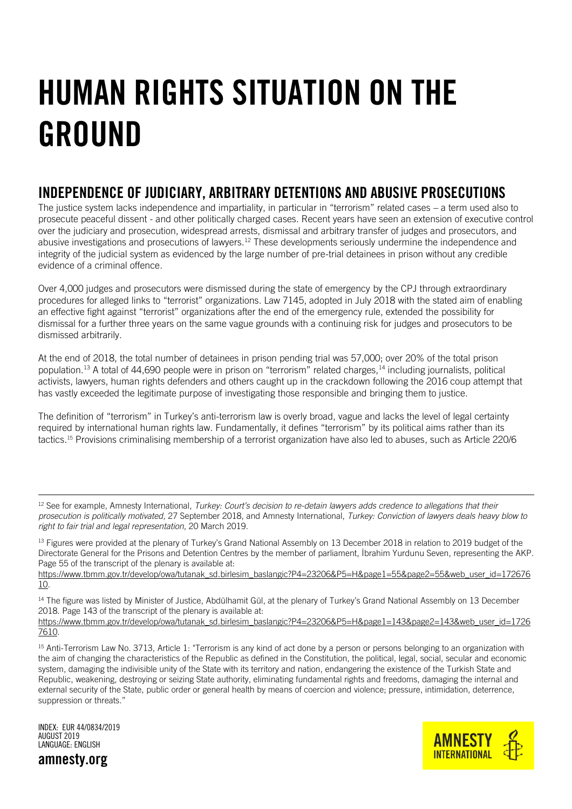# <span id="page-5-0"></span>HUMAN RIGHTS SITUATION ON THE GROUND

# <span id="page-5-1"></span>INDEPENDENCE OF JUDICIARY, ARBITRARY DETENTIONS AND ABUSIVE PROSECUTIONS

The justice system lacks independence and impartiality, in particular in "terrorism" related cases – a term used also to prosecute peaceful dissent - and other politically charged cases. Recent years have seen an extension of executive control over the judiciary and prosecution, widespread arrests, dismissal and arbitrary transfer of judges and prosecutors, and abusive investigations and prosecutions of lawyers.<sup>12</sup> These developments seriously undermine the independence and integrity of the judicial system as evidenced by the large number of pre-trial detainees in prison without any credible evidence of a criminal offence.

Over 4,000 judges and prosecutors were dismissed during the state of emergency by the CPJ through extraordinary procedures for alleged links to "terrorist" organizations. Law 7145, adopted in July 2018 with the stated aim of enabling an effective fight against "terrorist" organizations after the end of the emergency rule, extended the possibility for dismissal for a further three years on the same vague grounds with a continuing risk for judges and prosecutors to be dismissed arbitrarily.

At the end of 2018, the total number of detainees in prison pending trial was 57,000; over 20% of the total prison population.<sup>13</sup> A total of 44,690 people were in prison on "terrorism" related charges,<sup>14</sup> including journalists, political activists, lawyers, human rights defenders and others caught up in the crackdown following the 2016 coup attempt that has vastly exceeded the legitimate purpose of investigating those responsible and bringing them to justice.

The definition of "terrorism" in Turkey's anti-terrorism law is overly broad, vague and lacks the level of legal certainty required by international human rights law. Fundamentally, it defines "terrorism" by its political aims rather than its tactics.<sup>15</sup> Provisions criminalising membership of a terrorist organization have also led to abuses, such as Article 220/6

<sup>12</sup> See for example, Amnesty International, *Turkey: Court's decision to re-detain lawyers adds credence to allegations that their prosecution is politically motivated,* 27 September 2018, and Amnesty International, *Turkey: Conviction of lawyers deals heavy blow to right to fair trial and legal representation*, 20 March 2019.

<sup>13</sup> Figures were provided at the plenary of Turkey's Grand National Assembly on 13 December 2018 in relation to 2019 budget of the Directorate General for the Prisons and Detention Centres by the member of parliament, İbrahim Yurdunu Seven, representing the AKP. Page 55 of the transcript of the plenary is available at:

[https://www.tbmm.gov.tr/develop/owa/tutanak\\_sd.birlesim\\_baslangic?P4=23206&P5=H&page1=55&page2=55&web\\_user\\_id=172676](https://www.tbmm.gov.tr/develop/owa/tutanak_sd.birlesim_baslangic?P4=23206&P5=H&page1=55&page2=55&web_user_id=17267610) [10.](https://www.tbmm.gov.tr/develop/owa/tutanak_sd.birlesim_baslangic?P4=23206&P5=H&page1=55&page2=55&web_user_id=17267610)

<sup>14</sup> The figure was listed by Minister of Justice, Abdülhamit Gül, at the plenary of Turkey's Grand National Assembly on 13 December 2018. Page 143 of the transcript of the plenary is available at:

[https://www.tbmm.gov.tr/develop/owa/tutanak\\_sd.birlesim\\_baslangic?P4=23206&P5=H&page1=143&page2=143&web\\_user\\_id=1726](https://www.tbmm.gov.tr/develop/owa/tutanak_sd.birlesim_baslangic?P4=23206&P5=H&page1=143&page2=143&web_user_id=17267610) [7610.](https://www.tbmm.gov.tr/develop/owa/tutanak_sd.birlesim_baslangic?P4=23206&P5=H&page1=143&page2=143&web_user_id=17267610)

<sup>15</sup> Anti-Terrorism Law No. 3713, Article 1: "Terrorism is any kind of act done by a person or persons belonging to an organization with the aim of changing the characteristics of the Republic as defined in the Constitution, the political, legal, social, secular and economic system, damaging the indivisible unity of the State with its territory and nation, endangering the existence of the Turkish State and Republic, weakening, destroying or seizing State authority, eliminating fundamental rights and freedoms, damaging the internal and external security of the State, public order or general health by means of coercion and violence; pressure, intimidation, deterrence, suppression or threats."

INDEX: EUR 44/0834/2019 AUGUST 2019 LANGUAGE: ENGLISH



amnesty.org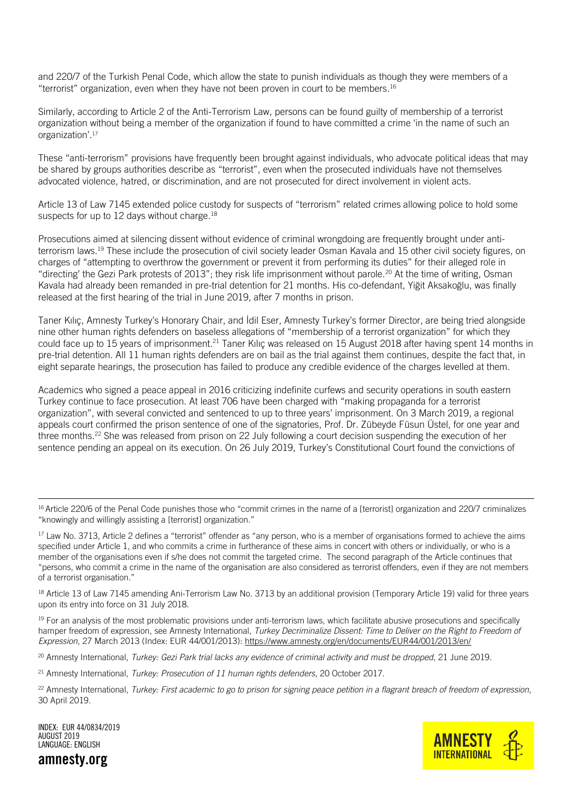and 220/7 of the Turkish Penal Code, which allow the state to punish individuals as though they were members of a "terrorist" organization, even when they have not been proven in court to be members. 16

Similarly, according to Article 2 of the Anti-Terrorism Law, persons can be found guilty of membership of a terrorist organization without being a member of the organization if found to have committed a crime 'in the name of such an organization'.<sup>17</sup>

These "anti-terrorism" provisions have frequently been brought against individuals, who advocate political ideas that may be shared by groups authorities describe as "terrorist", even when the prosecuted individuals have not themselves advocated violence, hatred, or discrimination, and are not prosecuted for direct involvement in violent acts.

Article 13 of Law 7145 extended police custody for suspects of "terrorism" related crimes allowing police to hold some suspects for up to 12 days without charge.<sup>18</sup>

Prosecutions aimed at silencing dissent without evidence of criminal wrongdoing are frequently brought under antiterrorism laws.<sup>19</sup> These include the prosecution of civil society leader Osman Kavala and 15 other civil society figures, on charges of "attempting to overthrow the government or prevent it from performing its duties" for their alleged role in "directing' the Gezi Park protests of 2013"; they risk life imprisonment without parole.<sup>20</sup> At the time of writing, Osman Kavala had already been remanded in pre-trial detention for 21 months. His co-defendant, Yiğit Aksakoğlu, was finally released at the first hearing of the trial in June 2019, after 7 months in prison.

Taner Kılıç, Amnesty Turkey's Honorary Chair, and İdil Eser, Amnesty Turkey's former Director, are being tried alongside nine other human rights defenders on baseless allegations of "membership of a terrorist organization" for which they could face up to 15 years of imprisonment.<sup>21</sup> Taner Kiliç was released on 15 August 2018 after having spent 14 months in pre-trial detention. All 11 human rights defenders are on bail as the trial against them continues, despite the fact that, in eight separate hearings, the prosecution has failed to produce any credible evidence of the charges levelled at them.

Academics who signed a peace appeal in 2016 criticizing indefinite curfews and security operations in south eastern Turkey continue to face prosecution. At least 706 have been charged with "making propaganda for a terrorist organization", with several convicted and sentenced to up to three years' imprisonment. On 3 March 2019, a regional appeals court confirmed the prison sentence of one of the signatories, Prof. Dr. Zübeyde Füsun Üstel, for one year and three months.<sup>22</sup> She was released from prison on 22 July following a court decision suspending the execution of her sentence pending an appeal on its execution. On 26 July 2019, Turkey's Constitutional Court found the convictions of

<sup>16</sup> Article 220/6 of the Penal Code punishes those who "commit crimes in the name of a [terrorist] organization and 220/7 criminalizes "knowingly and willingly assisting a [terrorist] organization."

<sup>17</sup> Law No. 3713, Article 2 defines a "terrorist" offender as "any person, who is a member of organisations formed to achieve the aims specified under Article 1, and who commits a crime in furtherance of these aims in concert with others or individually, or who is a member of the organisations even if s/he does not commit the targeted crime. The second paragraph of the Article continues that "persons, who commit a crime in the name of the organisation are also considered as terrorist offenders, even if they are not members of a terrorist organisation."

<sup>18</sup> Article 13 of Law 7145 amending Ani-Terrorism Law No. 3713 by an additional provision (Temporary Article 19) valid for three years upon its entry into force on 31 July 2018.

<sup>19</sup> For an analysis of the most problematic provisions under anti-terrorism laws, which facilitate abusive prosecutions and specifically hamper freedom of expression, see Amnesty International, *Turkey Decriminalize Dissent: Time to Deliver on the Right to Freedom of Expression,* 27 March 2013 (Index: EUR 44/001/2013):<https://www.amnesty.org/en/documents/EUR44/001/2013/en/>

<sup>20</sup> Amnesty International, *Turkey: Gezi Park trial lacks any evidence of criminal activity and must be dropped*, 21 June 2019.

<sup>21</sup> Amnesty International, *Turkey: Prosecution of 11 human rights defenders*, 20 October 2017.

INDEX: EUR 44/0834/2019 AUGUST 2019 LANGUAGE: ENGLISH





<sup>22</sup> Amnesty International, *Turkey: First academic to go to prison for signing peace petition in a flagrant breach of freedom of expression*, 30 April 2019.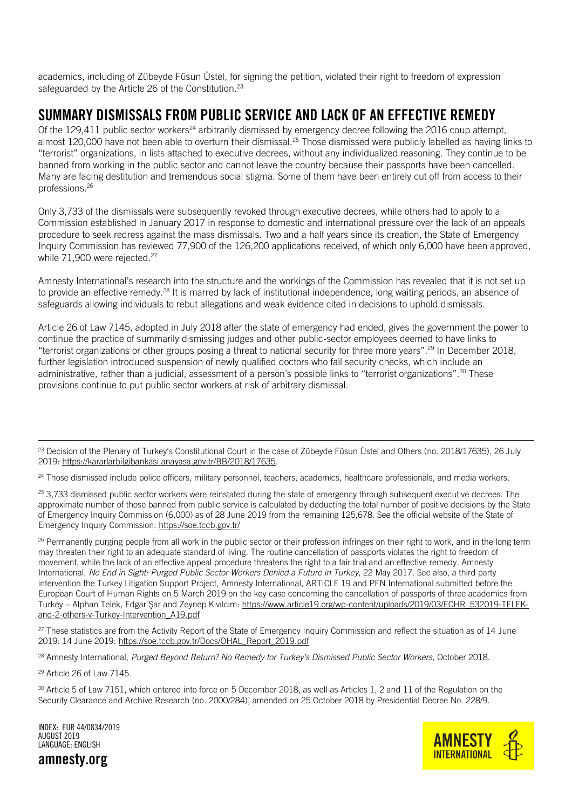academics, including of Zübeyde Füsun Üstel, for signing the petition, violated their right to freedom of expression safeguarded by the Article 26 of the Constitution.<sup>23</sup>

### <span id="page-7-0"></span>SUMMARY DISMISSALS FROM PUBLIC SERVICE AND LACK OF AN EFFECTIVE REMEDY

Of the 129,411 public sector workers<sup>24</sup> arbitrarily dismissed by emergency decree following the 2016 coup attempt, almost 120,000 have not been able to overturn their dismissal.<sup>25</sup> Those dismissed were publicly labelled as having links to "terrorist" organizations, in lists attached to executive decrees, without any individualized reasoning. They continue to be banned from working in the public sector and cannot leave the country because their passports have been cancelled. Many are facing destitution and tremendous social stigma. Some of them have been entirely cut off from access to their professions.<sup>26</sup>

Only 3,733 of the dismissals were subsequently revoked through executive decrees, while others had to apply to a Commission established in January 2017 in response to domestic and international pressure over the lack of an appeals procedure to seek redress against the mass dismissals. Two and a half years since its creation, the State of Emergency Inquiry Commission has reviewed 77,900 of the 126,200 applications received, of which only 6,000 have been approved, while 71,900 were rejected.<sup>27</sup>

Amnesty International's research into the structure and the workings of the Commission has revealed that it is not set up to provide an effective remedy.<sup>28</sup> It is marred by lack of institutional independence, long waiting periods, an absence of safeguards allowing individuals to rebut allegations and weak evidence cited in decisions to uphold dismissals.

Article 26 of Law 7145, adopted in July 2018 after the state of emergency had ended, gives the government the power to continue the practice of summarily dismissing judges and other public-sector employees deemed to have links to "terrorist organizations or other groups posing a threat to national security for three more years".<sup>29</sup> In December 2018, further legislation introduced suspension of newly qualified doctors who fail security checks, which include an administrative, rather than a judicial, assessment of a person's possible links to "terrorist organizations".<sup>30</sup> These provisions continue to put public sector workers at risk of arbitrary dismissal.

<sup>26</sup> Permanently purging people from all work in the public sector or their profession infringes on their right to work, and in the long term may threaten their right to an adequate standard of living. The routine cancellation of passports violates the right to freedom of movement, while the lack of an effective appeal procedure threatens the right to a fair trial and an effective remedy. Amnesty International, *No End in Sight: Purged Public Sector Workers Denied a Future in Turkey*, 22 May 2017. See also, a third party intervention the Turkey Litigation Support Project, Amnesty International, ARTICLE 19 and PEN International submitted before the European Court of Human Rights on 5 March 2019 on the key case concerning the cancellation of passports of three academics from Turkey – Alphan Telek, Edgar Şar and Zeynep Kıvılcım: [https://www.article19.org/wp-content/uploads/2019/03/ECHR\\_532019-TELEK](https://www.article19.org/wp-content/uploads/2019/03/ECHR_532019-TELEK-and-2-others-v-Turkey-Intervention_A19.pdf)[and-2-others-v-Turkey-Intervention\\_A19.pdf](https://www.article19.org/wp-content/uploads/2019/03/ECHR_532019-TELEK-and-2-others-v-Turkey-Intervention_A19.pdf)

 $27$  These statistics are from the Activity Report of the State of Emergency Inquiry Commission and reflect the situation as of 14 June 2019: 14 June 2019: [https://soe.tccb.gov.tr/Docs/OHAL\\_Report\\_2019.pdf](https://soe.tccb.gov.tr/Docs/OHAL_Report_2019.pdf)

<sup>28</sup> Amnesty International, *Purged Beyond Return? No Remedy for Turkey's Dismissed Public Sector Workers,* October 2018.

<sup>29</sup> Article 26 of Law 7145.

i.

<sup>30</sup> Article 5 of Law 7151, which entered into force on 5 December 2018, as well as Articles 1, 2 and 11 of the Regulation on the Security Clearance and Archive Research (no. 2000/284), amended on 25 October 2018 by Presidential Decree No. 228/9.

INDEX: EUR 44/0834/2019 AUGUST 2019 LANGUAGE: ENGLISH





<sup>&</sup>lt;sup>23</sup> Decision of the Plenary of Turkey's Constitutional Court in the case of Zübeyde Füsun Üstel and Others (no. 2018/17635), 26 July 2019[: https://kararlarbilgibankasi.anayasa.gov.tr/BB/2018/17635.](https://kararlarbilgibankasi.anayasa.gov.tr/BB/2018/17635)

<sup>&</sup>lt;sup>24</sup> Those dismissed include police officers, military personnel, teachers, academics, healthcare professionals, and media workers.

 $25$  3.733 dismissed public sector workers were reinstated during the state of emergency through subsequent executive decrees. The approximate number of those banned from public service is calculated by deducting the total number of positive decisions by the State of Emergency Inquiry Commission (6,000) as of 28 June 2019 from the remaining 125,678. See the official website of the State of Emergency Inquiry Commission:<https://soe.tccb.gov.tr/>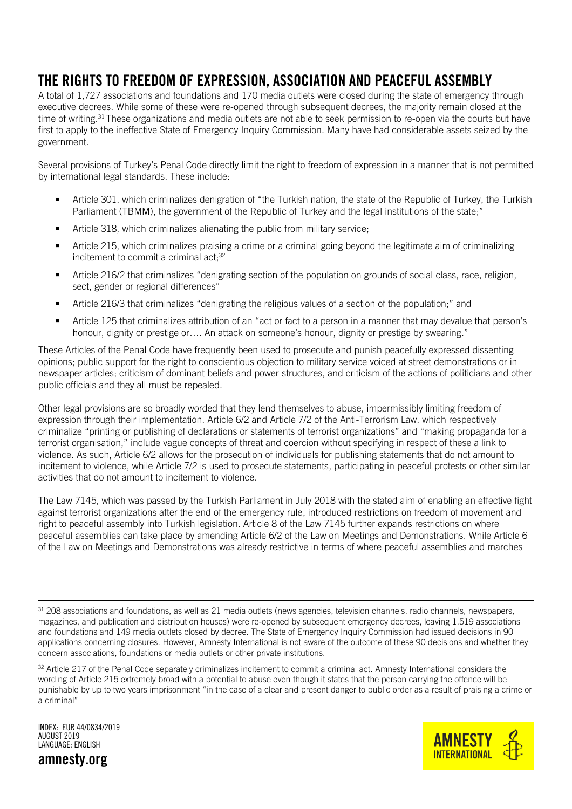# <span id="page-8-0"></span>THE RIGHTS TO FREEDOM OF EXPRESSION, ASSOCIATION AND PEACEFUL ASSEMBLY

A total of 1,727 associations and foundations and 170 media outlets were closed during the state of emergency through executive decrees. While some of these were re-opened through subsequent decrees, the majority remain closed at the time of writing.<sup>31</sup> These organizations and media outlets are not able to seek permission to re-open via the courts but have first to apply to the ineffective State of Emergency Inquiry Commission. Many have had considerable assets seized by the government.

Several provisions of Turkey's Penal Code directly limit the right to freedom of expression in a manner that is not permitted by international legal standards. These include:

- Article 301, which criminalizes denigration of "the Turkish nation, the state of the Republic of Turkey, the Turkish Parliament (TBMM), the government of the Republic of Turkey and the legal institutions of the state;"
- **EXECT** Article 318, which criminalizes alienating the public from military service;
- Article 215, which criminalizes praising a crime or a criminal going beyond the legitimate aim of criminalizing incitement to commit a criminal act;<sup>32</sup>
- Article 216/2 that criminalizes "denigrating section of the population on grounds of social class, race, religion, sect, gender or regional differences"
- Article 216/3 that criminalizes "denigrating the religious values of a section of the population;" and
- Article 125 that criminalizes attribution of an "act or fact to a person in a manner that may devalue that person's honour, dignity or prestige or…. An attack on someone's honour, dignity or prestige by swearing."

These Articles of the Penal Code have frequently been used to prosecute and punish peacefully expressed dissenting opinions; public support for the right to conscientious objection to military service voiced at street demonstrations or in newspaper articles; criticism of dominant beliefs and power structures, and criticism of the actions of politicians and other public officials and they all must be repealed.

Other legal provisions are so broadly worded that they lend themselves to abuse, impermissibly limiting freedom of expression through their implementation. Article 6/2 and Article 7/2 of the Anti-Terrorism Law, which respectively criminalize "printing or publishing of declarations or statements of terrorist organizations" and "making propaganda for a terrorist organisation," include vague concepts of threat and coercion without specifying in respect of these a link to violence. As such, Article 6/2 allows for the prosecution of individuals for publishing statements that do not amount to incitement to violence, while Article 7/2 is used to prosecute statements, participating in peaceful protests or other similar activities that do not amount to incitement to violence.

The Law 7145, which was passed by the Turkish Parliament in July 2018 with the stated aim of enabling an effective fight against terrorist organizations after the end of the emergency rule, introduced restrictions on freedom of movement and right to peaceful assembly into Turkish legislation. Article 8 of the Law 7145 further expands restrictions on where peaceful assemblies can take place by amending Article 6/2 of the Law on Meetings and Demonstrations. While Article 6 of the Law on Meetings and Demonstrations was already restrictive in terms of where peaceful assemblies and marches

INDEX: EUR 44/0834/2019 AUGUST 2019 LANGUAGE: ENGLISH





<sup>31 208</sup> associations and foundations, as well as 21 media outlets (news agencies, television channels, radio channels, newspapers, magazines, and publication and distribution houses) were re-opened by subsequent emergency decrees, leaving 1,519 associations and foundations and 149 media outlets closed by decree. The State of Emergency Inquiry Commission had issued decisions in 90 applications concerning closures. However, Amnesty International is not aware of the outcome of these 90 decisions and whether they concern associations, foundations or media outlets or other private institutions.

<sup>&</sup>lt;sup>32</sup> Article 217 of the Penal Code separately criminalizes incitement to commit a criminal act. Amnesty International considers the wording of Article 215 extremely broad with a potential to abuse even though it states that the person carrying the offence will be punishable by up to two years imprisonment "in the case of a clear and present danger to public order as a result of praising a crime or a criminal"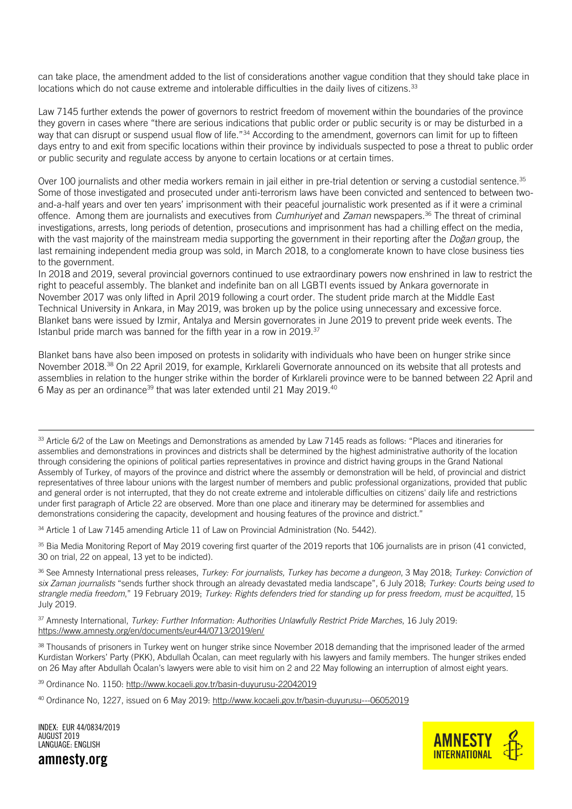can take place, the amendment added to the list of considerations another vague condition that they should take place in locations which do not cause extreme and intolerable difficulties in the daily lives of citizens.<sup>33</sup>

Law 7145 further extends the power of governors to restrict freedom of movement within the boundaries of the province they govern in cases where "there are serious indications that public order or public security is or may be disturbed in a way that can disrupt or suspend usual flow of life."<sup>34</sup> According to the amendment, governors can limit for up to fifteen days entry to and exit from specific locations within their province by individuals suspected to pose a threat to public order or public security and regulate access by anyone to certain locations or at certain times.

Over 100 journalists and other media workers remain in jail either in pre-trial detention or serving a custodial sentence.<sup>35</sup> Some of those investigated and prosecuted under anti-terrorism laws have been convicted and sentenced to between twoand-a-half years and over ten years' imprisonment with their peaceful journalistic work presented as if it were a criminal offence. Among them are journalists and executives from *Cumhuriyet* and *Zaman* newspapers.<sup>36</sup> The threat of criminal investigations, arrests, long periods of detention, prosecutions and imprisonment has had a chilling effect on the media, with the vast majority of the mainstream media supporting the government in their reporting after the *Doğan* group*,* the last remaining independent media group was sold, in March 2018, to a conglomerate known to have close business ties to the government.

In 2018 and 2019, several provincial governors continued to use extraordinary powers now enshrined in law to restrict the right to peaceful assembly. The blanket and indefinite ban on all LGBTI events issued by Ankara governorate in November 2017 was only lifted in April 2019 following a court order. The student pride march at the Middle East Technical University in Ankara, in May 2019, was broken up by the police using unnecessary and excessive force. Blanket bans were issued by Izmir, Antalya and Mersin governorates in June 2019 to prevent pride week events. The Istanbul pride march was banned for the fifth year in a row in 2019.<sup>37</sup>

Blanket bans have also been imposed on protests in solidarity with individuals who have been on hunger strike since November 2018.<sup>38</sup> On 22 April 2019, for example, Kırklareli Governorate announced on its website that all protests and assemblies in relation to the hunger strike within the border of Kırklareli province were to be banned between 22 April and 6 May as per an ordinance<sup>39</sup> that was later extended until 21 May 2019.<sup>40</sup>

33 Article 6/2 of the Law on Meetings and Demonstrations as amended by Law 7145 reads as follows: "Places and itineraries for assemblies and demonstrations in provinces and districts shall be determined by the highest administrative authority of the location through considering the opinions of political parties representatives in province and district having groups in the Grand National Assembly of Turkey, of mayors of the province and district where the assembly or demonstration will be held, of provincial and district representatives of three labour unions with the largest number of members and public professional organizations, provided that public and general order is not interrupted, that they do not create extreme and intolerable difficulties on citizens' daily life and restrictions under first paragraph of Article 22 are observed. More than one place and itinerary may be determined for assemblies and demonstrations considering the capacity, development and housing features of the province and district."

34 Article 1 of Law 7145 amending Article 11 of Law on Provincial Administration (No. 5442).

<sup>35</sup> Bia Media Monitoring Report of May 2019 covering first quarter of the 2019 reports that 106 journalists are in prison (41 convicted, 30 on trial, 22 on appeal, 13 yet to be indicted).

<sup>36</sup> See Amnesty International press releases, *Turkey: For journalists, Turkey has become a dungeon*, 3 May 2018; *Turkey: Conviction of six Zaman journalists* "sends further shock through an already devastated media landscape", 6 July 2018; *Turkey: Courts being used to strangle media freedom*," 19 February 2019; *Turkey: Rights defenders tried for standing up for press freedom, must be acquitted*, 15 July 2019.

<sup>37</sup> Amnesty International, *Turkey: Further Information: Authorities Unlawfully Restrict Pride Marches*, 16 July 2019: <https://www.amnesty.org/en/documents/eur44/0713/2019/en/>

<sup>38</sup> Thousands of prisoners in Turkey went on hunger strike since November 2018 demanding that the imprisoned leader of the armed Kurdistan Workers' Party (PKK), Abdullah Öcalan, can meet regularly with his lawyers and family members. The hunger strikes ended on 26 May after Abdullah Öcalan's lawyers were able to visit him on 2 and 22 May following an interruption of almost eight years.

39 Ordinance No. 1150:<http://www.kocaeli.gov.tr/basin-duyurusu-22042019>

<sup>40</sup> Ordinance No, 1227, issued on 6 May 2019:<http://www.kocaeli.gov.tr/basin-duyurusu---06052019>



INDEX: EUR 44/0834/2019 AUGUST 2019 LANGUAGE: ENGLISH

amnesty.org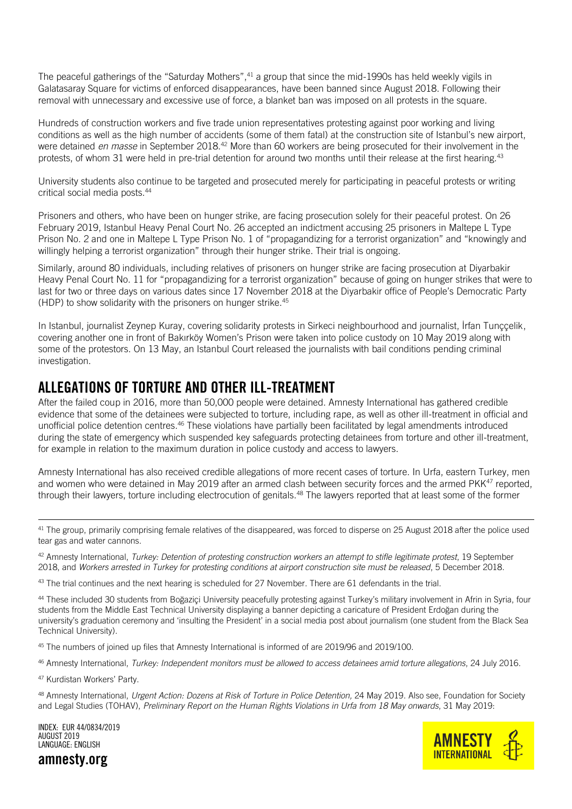The peaceful gatherings of the "Saturday Mothers",<sup>41</sup> a group that since the mid-1990s has held weekly vigils in Galatasaray Square for victims of enforced disappearances, have been banned since August 2018. Following their removal with unnecessary and excessive use of force, a blanket ban was imposed on all protests in the square.

Hundreds of construction workers and five trade union representatives protesting against poor working and living conditions as well as the high number of accidents (some of them fatal) at the construction site of Istanbul's new airport, were detained *en masse* in September 2018.<sup>42</sup> More than 60 workers are being prosecuted for their involvement in the protests, of whom 31 were held in pre-trial detention for around two months until their release at the first hearing.<sup>43</sup>

University students also continue to be targeted and prosecuted merely for participating in peaceful protests or writing critical social media posts.<sup>44</sup>

Prisoners and others, who have been on hunger strike, are facing prosecution solely for their peaceful protest. On 26 February 2019, Istanbul Heavy Penal Court No. 26 accepted an indictment accusing 25 prisoners in Maltepe L Type Prison No. 2 and one in Maltepe L Type Prison No. 1 of "propagandizing for a terrorist organization" and "knowingly and willingly helping a terrorist organization" through their hunger strike. Their trial is ongoing.

Similarly, around 80 individuals, including relatives of prisoners on hunger strike are facing prosecution at Diyarbakir Heavy Penal Court No. 11 for "propagandizing for a terrorist organization" because of going on hunger strikes that were to last for two or three days on various dates since 17 November 2018 at the Diyarbakir office of People's Democratic Party (HDP) to show solidarity with the prisoners on hunger strike.<sup>45</sup>

In Istanbul, journalist Zeynep Kuray, covering solidarity protests in Sirkeci neighbourhood and journalist, İrfan Tunççelik, covering another one in front of Bakırköy Women's Prison were taken into police custody on 10 May 2019 along with some of the protestors. On 13 May, an Istanbul Court released the journalists with bail conditions pending criminal investigation.

### <span id="page-10-0"></span>ALLEGATIONS OF TORTURE AND OTHER ILL-TREATMENT

After the failed coup in 2016, more than 50,000 people were detained. Amnesty International has gathered credible evidence that some of the detainees were subjected to torture, including rape, as well as other ill-treatment in official and unofficial police detention centres.<sup>46</sup> These violations have partially been facilitated by legal amendments introduced during the state of emergency which suspended key safeguards protecting detainees from torture and other ill-treatment, for example in relation to the maximum duration in police custody and access to lawyers.

Amnesty International has also received credible allegations of more recent cases of torture. In Urfa, eastern Turkey, men and women who were detained in May 2019 after an armed clash between security forces and the armed PKK<sup>47</sup> reported, through their lawyers, torture including electrocution of genitals.<sup>48</sup> The lawyers reported that at least some of the former

<sup>41</sup> The group, primarily comprising female relatives of the disappeared, was forced to disperse on 25 August 2018 after the police used tear gas and water cannons.

<sup>42</sup> Amnesty International, *Turkey: Detention of protesting construction workers an attempt to stifle legitimate protest*, 19 September 2018, and *Workers arrested in Turkey for protesting conditions at airport construction site must be released*, 5 December 2018.

<sup>43</sup> The trial continues and the next hearing is scheduled for 27 November. There are 61 defendants in the trial.

44 These included 30 students from Boğaziçi University peacefully protesting against Turkey's military involvement in Afrin in Syria, four students from the Middle East Technical University displaying a banner depicting a caricature of President Erdoğan during the university's graduation ceremony and 'insulting the President' in a social media post about journalism (one student from the Black Sea Technical University).

<sup>45</sup> The numbers of joined up files that Amnesty International is informed of are 2019/96 and 2019/100.

<sup>46</sup> Amnesty International, *Turkey: Independent monitors must be allowed to access detainees amid torture allegations*, 24 July 2016.

<sup>47</sup> Kurdistan Workers' Party.

i.

<sup>48</sup> Amnesty International, *Urgent Action: Dozens at Risk of Torture in Police Detention,* 24 May 2019. Also see, Foundation for Society and Legal Studies (TOHAV), *Preliminary Report on the Human Rights Violations in Urfa from 18 May onwards*, 31 May 2019:

INDEX: EUR 44/0834/2019 AUGUST 2019 LANGUAGE: ENGLISH

amnesty.org

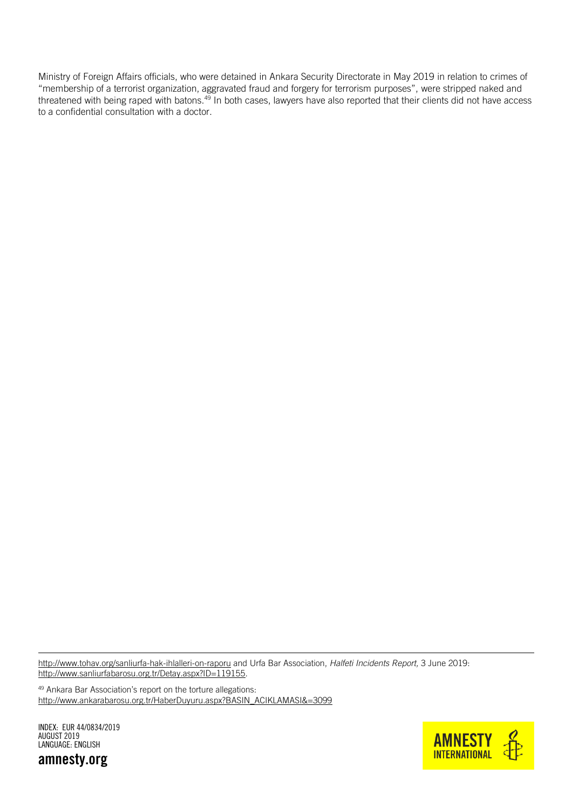Ministry of Foreign Affairs officials, who were detained in Ankara Security Directorate in May 2019 in relation to crimes of "membership of a terrorist organization, aggravated fraud and forgery for terrorism purposes", were stripped naked and threatened with being raped with batons.<sup>49</sup> In both cases, lawyers have also reported that their clients did not have access to a confidential consultation with a doctor.

<http://www.tohav.org/sanliurfa-hak-ihlalleri-on-raporu> and Urfa Bar Association, *Halfeti Incidents Report,* 3 June 2019: [http://www.sanliurfabarosu.org.tr/Detay.aspx?ID=119155.](http://www.sanliurfabarosu.org.tr/Detay.aspx?ID=119155)

<sup>49</sup> Ankara Bar Association's report on the torture allegations: [http://www.ankarabarosu.org.tr/HaberDuyuru.aspx?BASIN\\_ACIKLAMASI&=3099](http://www.ankarabarosu.org.tr/HaberDuyuru.aspx?BASIN_ACIKLAMASI&=3099) 

INDEX: EUR 44/0834/2019 AUGUST 2019 LANGUAGE: ENGLISH

amnesty.org

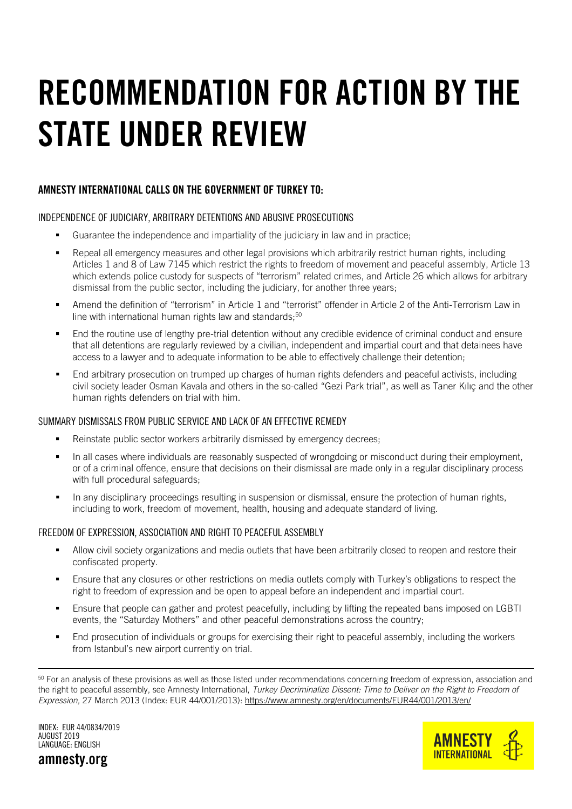# <span id="page-12-0"></span>RECOMMENDATION FOR ACTION BY THE STATE UNDER REVIEW

### AMNESTY INTERNATIONAL CALLS ON THE GOVERNMENT OF TURKEY TO:

#### INDEPENDENCE OF JUDICIARY, ARBITRARY DETENTIONS AND ABUSIVE PROSECUTIONS

- Guarantee the independence and impartiality of the judiciary in law and in practice;
- Repeal all emergency measures and other legal provisions which arbitrarily restrict human rights, including Articles 1 and 8 of Law 7145 which restrict the rights to freedom of movement and peaceful assembly, Article 13 which extends police custody for suspects of "terrorism" related crimes, and Article 26 which allows for arbitrary dismissal from the public sector, including the judiciary, for another three years;
- Amend the definition of "terrorism" in Article 1 and "terrorist" offender in Article 2 of the Anti-Terrorism Law in line with international human rights law and standards; $50$
- End the routine use of lengthy pre-trial detention without any credible evidence of criminal conduct and ensure that all detentions are regularly reviewed by a civilian, independent and impartial court and that detainees have access to a lawyer and to adequate information to be able to effectively challenge their detention;
- End arbitrary prosecution on trumped up charges of human rights defenders and peaceful activists, including civil society leader Osman Kavala and others in the so-called "Gezi Park trial", as well as Taner Kılıç and the other human rights defenders on trial with him.

#### SUMMARY DISMISSALS FROM PUBLIC SERVICE AND LACK OF AN EFFECTIVE REMEDY

- **Reinstate public sector workers arbitrarily dismissed by emergency decrees;**
- In all cases where individuals are reasonably suspected of wrongdoing or misconduct during their employment, or of a criminal offence, ensure that decisions on their dismissal are made only in a regular disciplinary process with full procedural safeguards:
- In any disciplinary proceedings resulting in suspension or dismissal, ensure the protection of human rights, including to work, freedom of movement, health, housing and adequate standard of living.

#### FREEDOM OF EXPRESSION, ASSOCIATION AND RIGHT TO PEACEFUL ASSEMBLY

- Allow civil society organizations and media outlets that have been arbitrarily closed to reopen and restore their confiscated property.
- Ensure that any closures or other restrictions on media outlets comply with Turkey's obligations to respect the right to freedom of expression and be open to appeal before an independent and impartial court.
- Ensure that people can gather and protest peacefully, including by lifting the repeated bans imposed on LGBTI events, the "Saturday Mothers" and other peaceful demonstrations across the country;
- End prosecution of individuals or groups for exercising their right to peaceful assembly, including the workers from Istanbul's new airport currently on trial.

INDEX: EUR 44/0834/2019 AUGUST 2019 LANGUAGE: ENGLISH



amnesty.org

<sup>&</sup>lt;sup>50</sup> For an analysis of these provisions as well as those listed under recommendations concerning freedom of expression, association and the right to peaceful assembly, see Amnesty International, *Turkey Decriminalize Dissent: Time to Deliver on the Right to Freedom of Expression,* 27 March 2013 (Index: EUR 44/001/2013): <https://www.amnesty.org/en/documents/EUR44/001/2013/en/>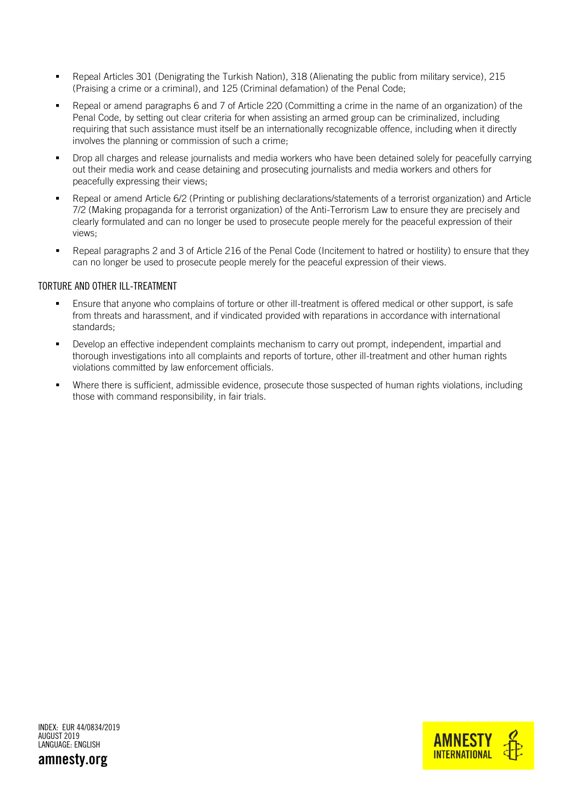- Repeal Articles 301 (Denigrating the Turkish Nation), 318 (Alienating the public from military service), 215 (Praising a crime or a criminal), and 125 (Criminal defamation) of the Penal Code;
- Repeal or amend paragraphs 6 and 7 of Article 220 (Committing a crime in the name of an organization) of the Penal Code, by setting out clear criteria for when assisting an armed group can be criminalized, including requiring that such assistance must itself be an internationally recognizable offence, including when it directly involves the planning or commission of such a crime;
- Drop all charges and release journalists and media workers who have been detained solely for peacefully carrying out their media work and cease detaining and prosecuting journalists and media workers and others for peacefully expressing their views;
- Repeal or amend Article 6/2 (Printing or publishing declarations/statements of a terrorist organization) and Article 7/2 (Making propaganda for a terrorist organization) of the Anti-Terrorism Law to ensure they are precisely and clearly formulated and can no longer be used to prosecute people merely for the peaceful expression of their views;
- Repeal paragraphs 2 and 3 of Article 216 of the Penal Code (Incitement to hatred or hostility) to ensure that they can no longer be used to prosecute people merely for the peaceful expression of their views.

#### TORTURE AND OTHER ILL-TREATMENT

- Ensure that anyone who complains of torture or other ill-treatment is offered medical or other support, is safe from threats and harassment, and if vindicated provided with reparations in accordance with international standards;
- Develop an effective independent complaints mechanism to carry out prompt, independent, impartial and thorough investigations into all complaints and reports of torture, other ill-treatment and other human rights violations committed by law enforcement officials.
- Where there is sufficient, admissible evidence, prosecute those suspected of human rights violations, including those with command responsibility, in fair trials.

INDEX: EUR 44/0834/2019 AUGUST 2019 LANGUAGE: ENGLISH



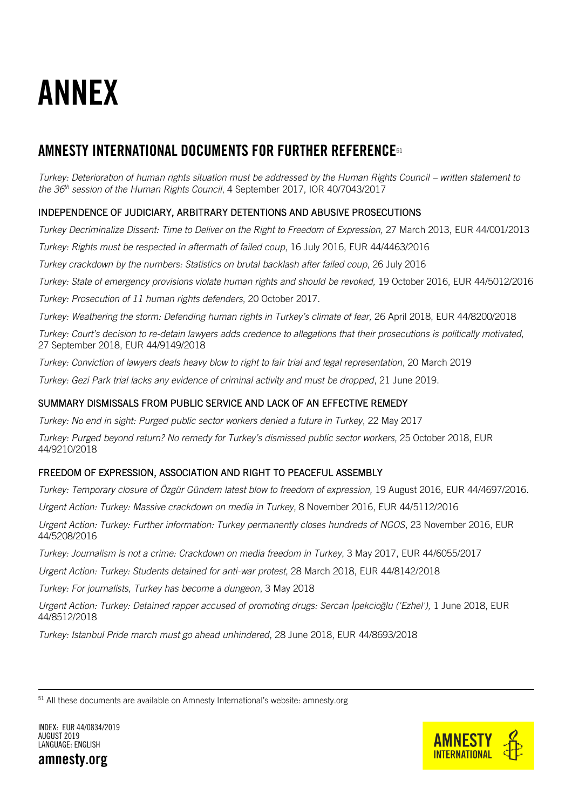<span id="page-14-0"></span>

## AMNESTY INTERNATIONAL DOCUMENTS FOR FURTHER REFERENCE<sup>51</sup>

*Turkey: Deterioration of human rights situation must be addressed by the Human Rights Council – written statement to the 36th session of the Human Rights Council*, 4 September 2017, IOR 40/7043/2017

### INDEPENDENCE OF JUDICIARY, ARBITRARY DETENTIONS AND ABUSIVE PROSECUTIONS

*Turkey Decriminalize Dissent: Time to Deliver on the Right to Freedom of Expression,* 27 March 2013, EUR 44/001/2013

*Turkey: Rights must be respected in aftermath of failed coup*, 16 July 2016, EUR 44/4463/2016

*Turkey crackdown by the numbers: Statistics on brutal backlash after failed coup*, 26 July 2016

*Turkey: State of emergency provisions violate human rights and should be revoked,* 19 October 2016, EUR 44/5012/2016

*Turkey: Prosecution of 11 human rights defenders*, 20 October 2017.

*Turkey: Weathering the storm: Defending human rights in Turkey's climate of fear,* 26 April 2018, EUR 44/8200/2018

*Turkey: Court's decision to re-detain lawyers adds credence to allegations that their prosecutions is politically motivated*, 27 September 2018, EUR 44/9149/2018

*Turkey: Conviction of lawyers deals heavy blow to right to fair trial and legal representation*, 20 March 2019

*Turkey: Gezi Park trial lacks any evidence of criminal activity and must be dropped*, 21 June 2019.

#### SUMMARY DISMISSALS FROM PUBLIC SERVICE AND LACK OF AN EFFECTIVE REMEDY

*Turkey: No end in sight: Purged public sector workers denied a future in Turkey*, 22 May 2017

*Turkey: Purged beyond return? No remedy for Turkey's dismissed public sector workers*, 25 October 2018, EUR 44/9210/2018

### FREEDOM OF EXPRESSION, ASSOCIATION AND RIGHT TO PEACEFUL ASSEMBLY

*Turkey: Temporary closure of Özgür Gündem latest blow to freedom of expression,* 19 August 2016, EUR 44/4697/2016.

*Urgent Action: Turkey: Massive crackdown on media in Turkey*, 8 November 2016, EUR 44/5112/2016

*Urgent Action: Turkey: Further information: Turkey permanently closes hundreds of NGOS*, 23 November 2016, EUR 44/5208/2016

*Turkey: Journalism is not a crime: Crackdown on media freedom in Turkey*, 3 May 2017, EUR 44/6055/2017

*Urgent Action: Turkey: Students detained for anti-war protest*, 28 March 2018, EUR 44/8142/2018

*Turkey: For journalists, Turkey has become a dungeon*, 3 May 2018

*Urgent Action: Turkey: Detained rapper accused of promoting drugs: Sercan İpekcioğlu ('Ezhel'),* 1 June 2018, EUR 44/8512/2018

*Turkey: Istanbul Pride march must go ahead unhindered*, 28 June 2018, EUR 44/8693/2018

 $51$  All these documents are available on Amnesty International's website: amnesty.org



INDEX: EUR 44/0834/2019 AUGUST 2019 LANGUAGE: ENGLISH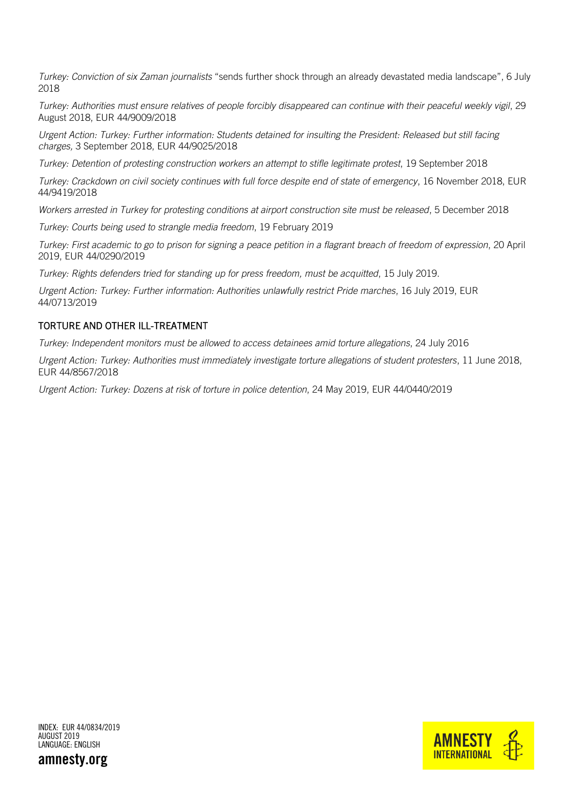*Turkey: Conviction of six Zaman journalists* "sends further shock through an already devastated media landscape", 6 July 2018

*Turkey: Authorities must ensure relatives of people forcibly disappeared can continue with their peaceful weekly vigil*, 29 August 2018, EUR 44/9009/2018

*Urgent Action: Turkey: Further information: Students detained for insulting the President: Released but still facing charges,* 3 September 2018, EUR 44/9025/2018

*Turkey: Detention of protesting construction workers an attempt to stifle legitimate protest*, 19 September 2018

*Turkey: Crackdown on civil society continues with full force despite end of state of emergency*, 16 November 2018, EUR 44/9419/2018

*Workers arrested in Turkey for protesting conditions at airport construction site must be released*, 5 December 2018

*Turkey: Courts being used to strangle media freedom*, 19 February 2019

*Turkey: First academic to go to prison for signing a peace petition in a flagrant breach of freedom of expression*, 20 April 2019, EUR 44/0290/2019

*Turkey: Rights defenders tried for standing up for press freedom, must be acquitted*, 15 July 2019.

*Urgent Action: Turkey: Further information: Authorities unlawfully restrict Pride marches*, 16 July 2019, EUR 44/0713/2019

#### TORTURE AND OTHER ILL-TREATMENT

*Turkey: Independent monitors must be allowed to access detainees amid torture allegations*, 24 July 2016

*Urgent Action: Turkey: Authorities must immediately investigate torture allegations of student protesters*, 11 June 2018, EUR 44/8567/2018

*Urgent Action: Turkey: Dozens at risk of torture in police detention*, 24 May 2019, EUR 44/0440/2019

INDEX: EUR 44/0834/2019 AUGUST 2019 LANGUAGE: ENGLISH